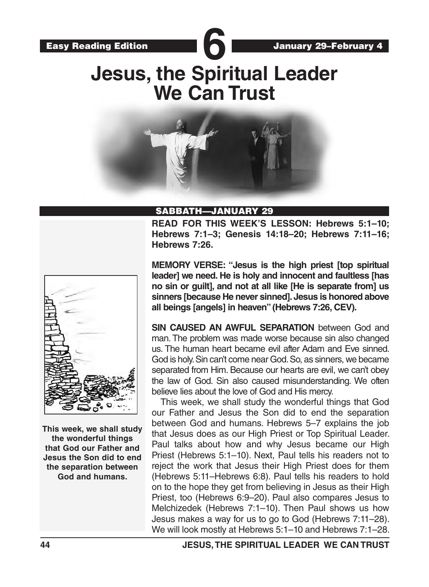

# **Jesus, the Spiritual Leader We Can Trust**



#### SABBATH—JANUARY 29

**READ FOR THIS WEEK'S LESSON: Hebrews 5:1–10; Hebrews 7:1–3; Genesis 14:18–20; Hebrews 7:11–16; Hebrews 7:26.**



**This week, we shall study the wonderful things that God our Father and Jesus the Son did to end the separation between God and humans.**

**MEMORY VERSE: "Jesus is the high priest [top spiritual leader] we need. He is holy and innocent and faultless [has no sin or guilt], and not at all like [He is separate from] us sinners [because He never sinned]. Jesus is honored above all beings [angels] in heaven" (Hebrews 7:26, CEV).** 

**SIN CAUSED AN AWFUL SEPARATION** between God and man. The problem was made worse because sin also changed us. The human heart became evil after Adam and Eve sinned. God is holy. Sin can't come near God. So, as sinners, we became separated from Him. Because our hearts are evil, we can't obey the law of God. Sin also caused misunderstanding. We often believe lies about the love of God and His mercy.

This week, we shall study the wonderful things that God our Father and Jesus the Son did to end the separation between God and humans. Hebrews 5–7 explains the job that Jesus does as our High Priest or Top Spiritual Leader. Paul talks about how and why Jesus became our High Priest (Hebrews 5:1–10). Next, Paul tells his readers not to reject the work that Jesus their High Priest does for them (Hebrews 5:11–Hebrews 6:8). Paul tells his readers to hold on to the hope they get from believing in Jesus as their High Priest, too (Hebrews 6:9–20). Paul also compares Jesus to Melchizedek (Hebrews 7:1–10). Then Paul shows us how Jesus makes a way for us to go to God (Hebrews 7:11–28). We will look mostly at Hebrews 5:1–10 and Hebrews 7:1–28.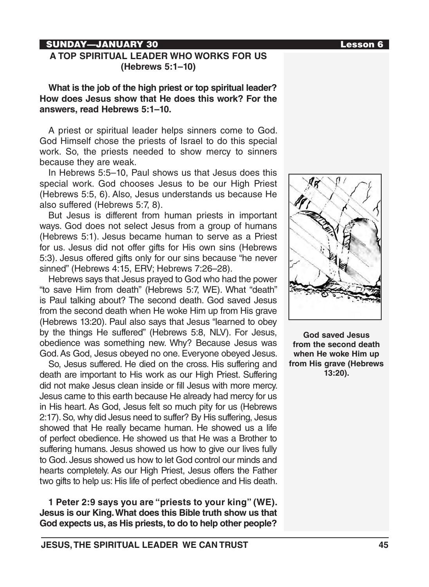### SUNDAY—JANUARY 30 Lesson 6

#### **A TOP SPIRITUAL LEADER WHO WORKS FOR US (Hebrews 5:1–10)**

**What is the job of the high priest or top spiritual leader? How does Jesus show that He does this work? For the answers, read Hebrews 5:1–10.** 

A priest or spiritual leader helps sinners come to God. God Himself chose the priests of Israel to do this special work. So, the priests needed to show mercy to sinners because they are weak.

In Hebrews 5:5–10, Paul shows us that Jesus does this special work. God chooses Jesus to be our High Priest (Hebrews 5:5, 6). Also, Jesus understands us because He also suffered (Hebrews 5:7, 8).

But Jesus is different from human priests in important ways. God does not select Jesus from a group of humans (Hebrews 5:1). Jesus became human to serve as a Priest for us. Jesus did not offer gifts for His own sins (Hebrews 5:3). Jesus offered gifts only for our sins because "he never sinned" (Hebrews 4:15, ERV; Hebrews 7:26–28).

Hebrews says that Jesus prayed to God who had the power "to save Him from death" (Hebrews 5:7, WE). What "death" is Paul talking about? The second death. God saved Jesus from the second death when He woke Him up from His grave (Hebrews 13:20). Paul also says that Jesus "learned to obey by the things He suffered" (Hebrews 5:8, NLV). For Jesus, obedience was something new. Why? Because Jesus was God. As God, Jesus obeyed no one. Everyone obeyed Jesus.

So, Jesus suffered. He died on the cross. His suffering and death are important to His work as our High Priest. Suffering did not make Jesus clean inside or fill Jesus with more mercy. Jesus came to this earth because He already had mercy for us in His heart. As God, Jesus felt so much pity for us (Hebrews 2:17). So, why did Jesus need to suffer? By His suffering, Jesus showed that He really became human. He showed us a life of perfect obedience. He showed us that He was a Brother to suffering humans. Jesus showed us how to give our lives fully to God. Jesus showed us how to let God control our minds and hearts completely. As our High Priest, Jesus offers the Father two gifts to help us: His life of perfect obedience and His death.

**1 Peter 2:9 says you are "priests to your king" (WE). Jesus is our King. What does this Bible truth show us that God expects us, as His priests, to do to help other people?**



**God saved Jesus from the second death when He woke Him up from His grave (Hebrews 13:20).**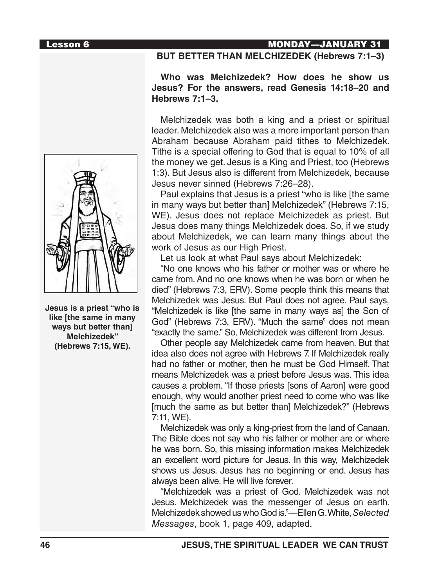

**Jesus is a priest "who is like [the same in many ways but better than] Melchizedek" (Hebrews 7:15, WE).**

### **Lesson 6 MONDAY—JANUARY 31 BUT BETTER THAN MELCHIZEDEK (Hebrews 7:1–3)**

#### **Who was Melchizedek? How does he show us Jesus? For the answers, read Genesis 14:18–20 and Hebrews 7:1–3.**

Melchizedek was both a king and a priest or spiritual leader. Melchizedek also was a more important person than Abraham because Abraham paid tithes to Melchizedek. Tithe is a special offering to God that is equal to 10% of all the money we get. Jesus is a King and Priest, too (Hebrews 1:3). But Jesus also is different from Melchizedek, because Jesus never sinned (Hebrews 7:26–28).

Paul explains that Jesus is a priest "who is like [the same in many ways but better than] Melchizedek" (Hebrews 7:15, WE). Jesus does not replace Melchizedek as priest. But Jesus does many things Melchizedek does. So, if we study about Melchizedek, we can learn many things about the work of Jesus as our High Priest.

Let us look at what Paul says about Melchizedek:

"No one knows who his father or mother was or where he came from. And no one knows when he was born or when he died" (Hebrews 7:3, ERV). Some people think this means that Melchizedek was Jesus. But Paul does not agree. Paul says, "Melchizedek is like [the same in many ways as] the Son of God" (Hebrews 7:3, ERV). "Much the same" does not mean "exactly the same." So, Melchizedek was different from Jesus.

Other people say Melchizedek came from heaven. But that idea also does not agree with Hebrews 7. If Melchizedek really had no father or mother, then he must be God Himself. That means Melchizedek was a priest before Jesus was. This idea causes a problem. "If those priests [sons of Aaron] were good enough, why would another priest need to come who was like [much the same as but better than] Melchizedek?" (Hebrews 7:11, WE).

Melchizedek was only a king-priest from the land of Canaan. The Bible does not say who his father or mother are or where he was born. So, this missing information makes Melchizedek an excellent word picture for Jesus. In this way, Melchizedek shows us Jesus. Jesus has no beginning or end. Jesus has always been alive. He will live forever.

"Melchizedek was a priest of God. Melchizedek was not Jesus. Melchizedek was the messenger of Jesus on earth. Melchizedek showed us who God is."—Ellen G. White, *Selected Messages*, book 1, page 409, adapted.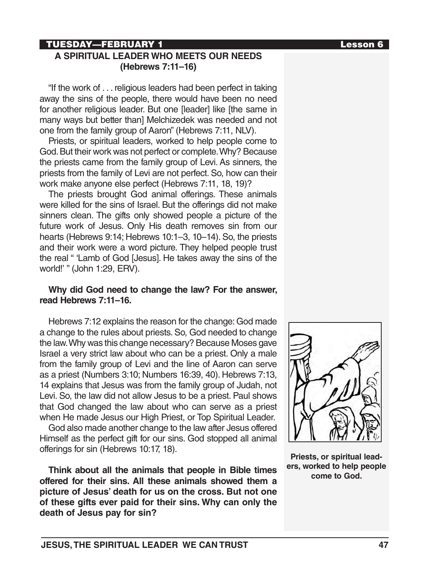# TUESDAY—FEBRUARY 1 Lesson 6

#### **A SPIRITUAL LEADER WHO MEETS OUR NEEDS (Hebrews 7:11–16)**

"If the work of . . . religious leaders had been perfect in taking away the sins of the people, there would have been no need for another religious leader. But one [leader] like [the same in many ways but better than] Melchizedek was needed and not one from the family group of Aaron" (Hebrews 7:11, NLV).

Priests, or spiritual leaders, worked to help people come to God. But their work was not perfect or complete. Why? Because the priests came from the family group of Levi. As sinners, the priests from the family of Levi are not perfect. So, how can their work make anyone else perfect (Hebrews 7:11, 18, 19)?

The priests brought God animal offerings. These animals were killed for the sins of Israel. But the offerings did not make sinners clean. The gifts only showed people a picture of the future work of Jesus. Only His death removes sin from our hearts (Hebrews 9:14; Hebrews 10:1–3, 10–14). So, the priests and their work were a word picture. They helped people trust the real " 'Lamb of God [Jesus]. He takes away the sins of the world!' " (John 1:29, ERV).

#### **Why did God need to change the law? For the answer, read Hebrews 7:11–16.**

Hebrews 7:12 explains the reason for the change: God made a change to the rules about priests. So, God needed to change the law. Why was this change necessary? Because Moses gave Israel a very strict law about who can be a priest. Only a male from the family group of Levi and the line of Aaron can serve as a priest (Numbers 3:10; Numbers 16:39, 40). Hebrews 7:13, 14 explains that Jesus was from the family group of Judah, not Levi. So, the law did not allow Jesus to be a priest. Paul shows that God changed the law about who can serve as a priest when He made Jesus our High Priest, or Top Spiritual Leader.

God also made another change to the law after Jesus offered Himself as the perfect gift for our sins. God stopped all animal offerings for sin (Hebrews 10:17, 18).

**Think about all the animals that people in Bible times offered for their sins. All these animals showed them a picture of Jesus' death for us on the cross. But not one of these gifts ever paid for their sins. Why can only the death of Jesus pay for sin?**



**Priests, or spiritual leaders, worked to help people come to God.**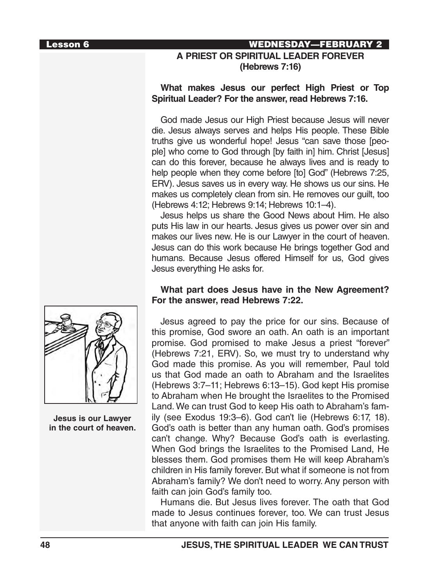### Lesson 6 WEDNESDAY—FEBRUARY 2 **A PRIEST OR SPIRITUAL LEADER FOREVER (Hebrews 7:16)**

### **What makes Jesus our perfect High Priest or Top Spiritual Leader? For the answer, read Hebrews 7:16.**

God made Jesus our High Priest because Jesus will never die. Jesus always serves and helps His people. These Bible truths give us wonderful hope! Jesus "can save those [people] who come to God through [by faith in] him. Christ [Jesus] can do this forever, because he always lives and is ready to help people when they come before [to] God" (Hebrews 7:25, ERV). Jesus saves us in every way. He shows us our sins. He makes us completely clean from sin. He removes our guilt, too (Hebrews 4:12; Hebrews 9:14; Hebrews 10:1–4).

Jesus helps us share the Good News about Him. He also puts His law in our hearts. Jesus gives us power over sin and makes our lives new. He is our Lawyer in the court of heaven. Jesus can do this work because He brings together God and humans. Because Jesus offered Himself for us, God gives Jesus everything He asks for.

### **What part does Jesus have in the New Agreement? For the answer, read Hebrews 7:22.**

Jesus agreed to pay the price for our sins. Because of this promise, God swore an oath. An oath is an important promise. God promised to make Jesus a priest "forever" (Hebrews 7:21, ERV). So, we must try to understand why God made this promise. As you will remember, Paul told us that God made an oath to Abraham and the Israelites (Hebrews 3:7–11; Hebrews 6:13–15). God kept His promise to Abraham when He brought the Israelites to the Promised Land. We can trust God to keep His oath to Abraham's family (see Exodus 19:3–6). God can't lie (Hebrews 6:17, 18). God's oath is better than any human oath. God's promises can't change. Why? Because God's oath is everlasting. When God brings the Israelites to the Promised Land, He blesses them. God promises them He will keep Abraham's children in His family forever. But what if someone is not from Abraham's family? We don't need to worry. Any person with faith can join God's family too.

Humans die. But Jesus lives forever. The oath that God made to Jesus continues forever, too. We can trust Jesus that anyone with faith can join His family.



**Jesus is our Lawyer in the court of heaven.**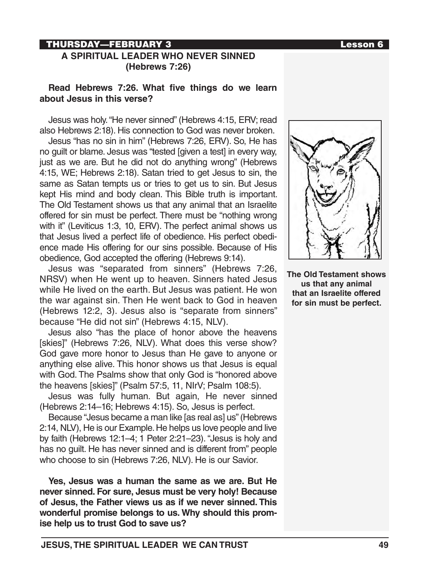### THURSDAY—FEBRUARY 3 Lesson 6

### **A SPIRITUAL LEADER WHO NEVER SINNED (Hebrews 7:26)**

#### **Read Hebrews 7:26. What five things do we learn about Jesus in this verse?**

Jesus was holy. "He never sinned" (Hebrews 4:15, ERV; read also Hebrews 2:18). His connection to God was never broken.

Jesus "has no sin in him" (Hebrews 7:26, ERV). So, He has no guilt or blame. Jesus was "tested [given a test] in every way, just as we are. But he did not do anything wrong" (Hebrews 4:15, WE; Hebrews 2:18). Satan tried to get Jesus to sin, the same as Satan tempts us or tries to get us to sin. But Jesus kept His mind and body clean. This Bible truth is important. The Old Testament shows us that any animal that an Israelite offered for sin must be perfect. There must be "nothing wrong with it" (Leviticus 1:3, 10, ERV). The perfect animal shows us that Jesus lived a perfect life of obedience. His perfect obedience made His offering for our sins possible. Because of His obedience, God accepted the offering (Hebrews 9:14).

Jesus was "separated from sinners" (Hebrews 7:26, NRSV) when He went up to heaven. Sinners hated Jesus while He lived on the earth. But Jesus was patient. He won the war against sin. Then He went back to God in heaven (Hebrews 12:2, 3). Jesus also is "separate from sinners" because "He did not sin" (Hebrews 4:15, NLV).

Jesus also "has the place of honor above the heavens [skies]" (Hebrews 7:26, NLV). What does this verse show? God gave more honor to Jesus than He gave to anyone or anything else alive. This honor shows us that Jesus is equal with God. The Psalms show that only God is "honored above the heavens [skies]" (Psalm 57:5, 11, NIrV; Psalm 108:5).

Jesus was fully human. But again, He never sinned (Hebrews 2:14–16; Hebrews 4:15). So, Jesus is perfect.

Because "Jesus became a man like [as real as] us" (Hebrews 2:14, NLV), He is our Example. He helps us love people and live by faith (Hebrews 12:1–4; 1 Peter 2:21–23). "Jesus is holy and has no guilt. He has never sinned and is different from" people who choose to sin (Hebrews 7:26, NLV). He is our Savior.

**Yes, Jesus was a human the same as we are. But He never sinned. For sure, Jesus must be very holy! Because of Jesus, the Father views us as if we never sinned. This wonderful promise belongs to us. Why should this promise help us to trust God to save us?**



**The Old Testament shows us that any animal that an Israelite offered for sin must be perfect.**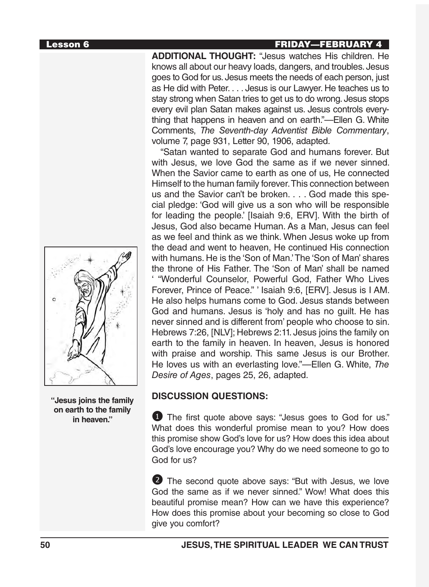**"Jesus joins the family on earth to the family in heaven."**

**ADDITIONAL THOUGHT:** "Jesus watches His children. He knows all about our heavy loads, dangers, and troubles. Jesus goes to God for us. Jesus meets the needs of each person, just as He did with Peter. . . . Jesus is our Lawyer. He teaches us to stay strong when Satan tries to get us to do wrong. Jesus stops every evil plan Satan makes against us. Jesus controls everything that happens in heaven and on earth."—Ellen G. White Comments, *The Seventh-day Adventist Bible Commentary*, volume 7, page 931, Letter 90, 1906, adapted.

"Satan wanted to separate God and humans forever. But with Jesus, we love God the same as if we never sinned. When the Savior came to earth as one of us, He connected Himself to the human family forever. This connection between us and the Savior can't be broken. . . . God made this special pledge: 'God will give us a son who will be responsible for leading the people.' [Isaiah 9:6, ERV]. With the birth of Jesus, God also became Human. As a Man, Jesus can feel as we feel and think as we think. When Jesus woke up from the dead and went to heaven, He continued His connection with humans. He is the 'Son of Man.' The 'Son of Man' shares the throne of His Father. The 'Son of Man' shall be named ' "Wonderful Counselor, Powerful God, Father Who Lives Forever, Prince of Peace." ' Isaiah 9:6, [ERV]. Jesus is I AM. He also helps humans come to God. Jesus stands between God and humans. Jesus is 'holy and has no guilt. He has never sinned and is different from' people who choose to sin. Hebrews 7:26, [NLV]; Hebrews 2:11. Jesus joins the family on earth to the family in heaven. In heaven, Jesus is honored with praise and worship. This same Jesus is our Brother. He loves us with an everlasting love."—Ellen G. White, *The Desire of Ages*, pages 25, 26, adapted.

# **DISCUSSION QUESTIONS:**

**1** The first quote above says: "Jesus goes to God for us." What does this wonderful promise mean to you? How does this promise show God's love for us? How does this idea about God's love encourage you? Why do we need someone to go to God for us?

2 The second quote above says: "But with Jesus, we love God the same as if we never sinned." Wow! What does this beautiful promise mean? How can we have this experience? How does this promise about your becoming so close to God give you comfort?